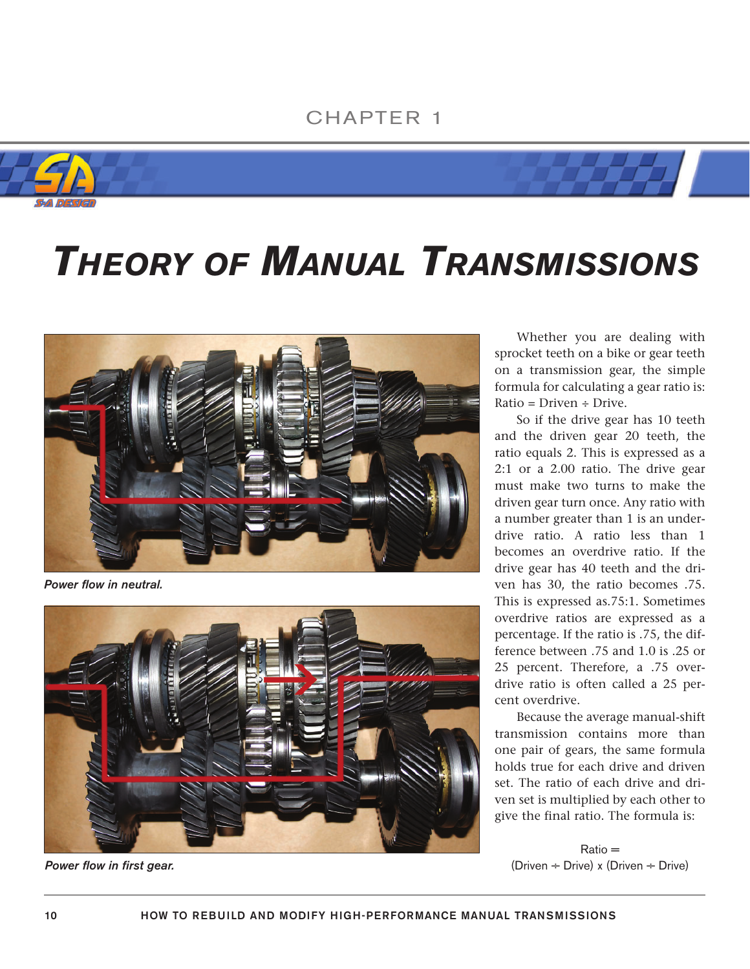## CHAPTER 1





## *THEORY OF MANUAL TRANSMISSIONS*



*Power flow in neutral.*



*Power flow in first gear.*

Whether you are dealing with sprocket teeth on a bike or gear teeth on a transmission gear, the simple formula for calculating a gear ratio is: Ratio = Driven ÷ Drive.

So if the drive gear has 10 teeth and the driven gear 20 teeth, the ratio equals 2. This is expressed as a 2:1 or a 2.00 ratio. The drive gear must make two turns to make the driven gear turn once. Any ratio with a number greater than 1 is an underdrive ratio. A ratio less than 1 becomes an overdrive ratio. If the drive gear has 40 teeth and the driven has 30, the ratio becomes .75. This is expressed as.75:1. Sometimes overdrive ratios are expressed as a percentage. If the ratio is .75, the difference between .75 and 1.0 is .25 or 25 percent. Therefore, a .75 overdrive ratio is often called a 25 percent overdrive.

Because the average manual-shift transmission contains more than one pair of gears, the same formula holds true for each drive and driven set. The ratio of each drive and driven set is multiplied by each other to give the final ratio. The formula is:

Ratio = (Driven  $\div$  Drive) x (Driven  $\div$  Drive)